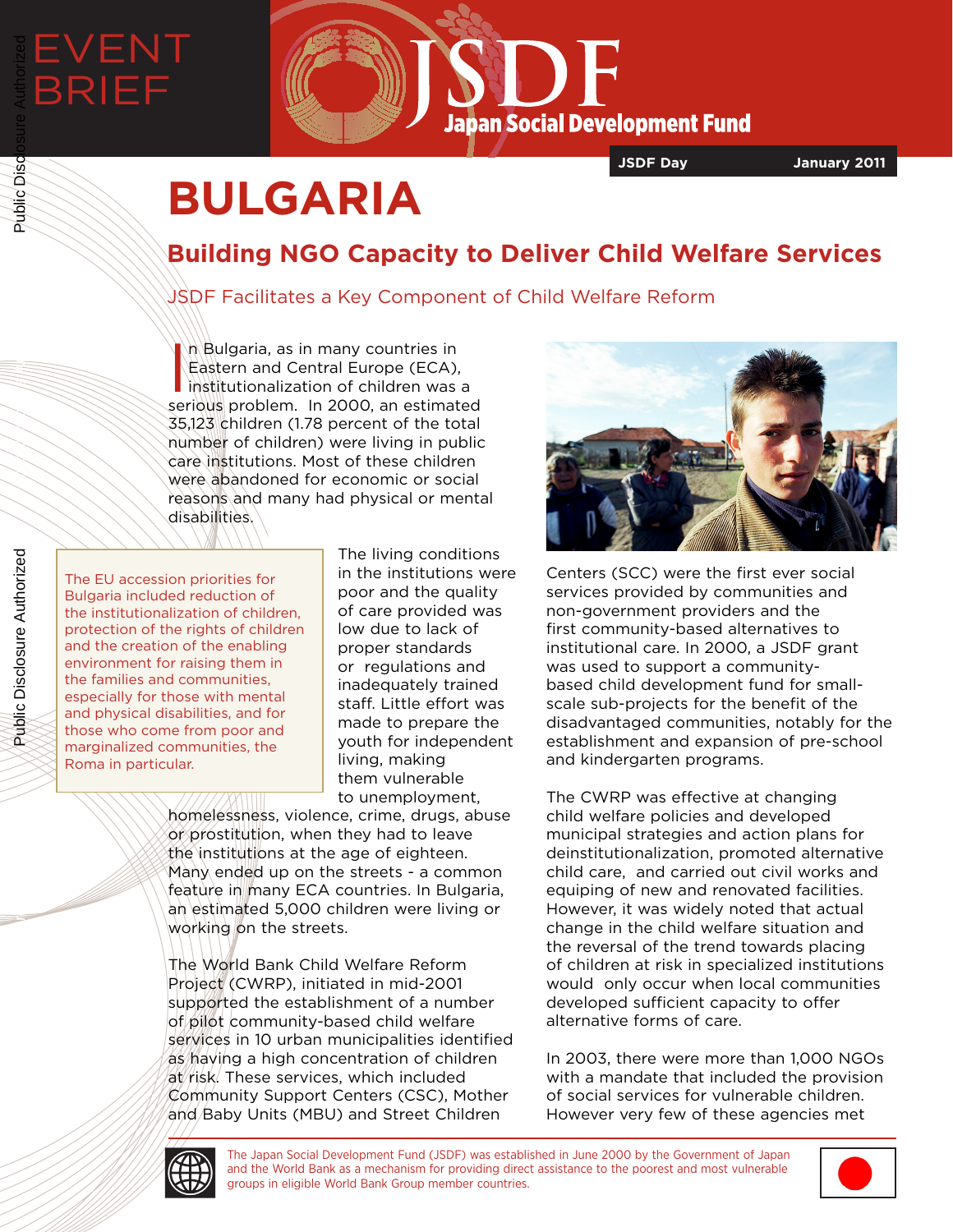

**JSDF Day January 2011**

# **BULGARIA**

## **Building NGO Capacity to Deliver Child Welfare Services**

### JSDF Facilitates a Key Component of Child Welfare Reform

In Bulgaria, as in many countries in<br>Eastern and Central Europe (ECA),<br>institutionalization of children was a<br>serious problem. In 2000, an estimated n Bulgaria, as in many countries in Eastern and Central Europe (ECA), institutionalization of children was a 35,123 children (1.78 percent of the total number of children) were living in public care institutions. Most of these children were abandoned for economic or social reasons and many had physical or mental disabilities.

The EU accession priorities for Bulgaria included reduction of the institutionalization of children, protection of the rights of children and the creation of the enabling environment for raising them in the families and communities, especially for those with mental and physical disabilities, and for those who come from poor and marginalized communities, the Roma in particular.

The living conditions in the institutions were poor and the quality of care provided was low due to lack of proper standards or regulations and inadequately trained staff. Little effort was made to prepare the youth for independent living, making them vulnerable to unemployment,

homelessness, violence, crime, drugs, abuse or prostitution, when they had to leave the institutions at the age of eighteen. Many ended up on the streets - a common feature in many ECA countries. In Bulgaria, an estimated 5,000 children were living or working on the streets.

The World Bank Child Welfare Reform Project (CWRP), initiated in mid-2001 supported the establishment of a number of pilot community-based child welfare services in 10 urban municipalities identified as having a high concentration of children at risk. These services, which included Community Support Centers (CSC), Mother and Baby Units (MBU) and Street Children



Centers (SCC) were the first ever social services provided by communities and non-government providers and the first community-based alternatives to institutional care. In 2000, a JSDF grant was used to support a communitybased child development fund for smallscale sub-projects for the benefit of the disadvantaged communities, notably for the establishment and expansion of pre-school and kindergarten programs.

The CWRP was effective at changing child welfare policies and developed municipal strategies and action plans for deinstitutionalization, promoted alternative child care, and carried out civil works and equiping of new and renovated facilities. However, it was widely noted that actual change in the child welfare situation and the reversal of the trend towards placing of children at risk in specialized institutions would only occur when local communities developed sufficient capacity to offer alternative forms of care.

In 2003, there were more than 1,000 NGOs with a mandate that included the provision of social services for vulnerable children. However very few of these agencies met



Public Disclosure Authorized

Public Disclosure Authorized